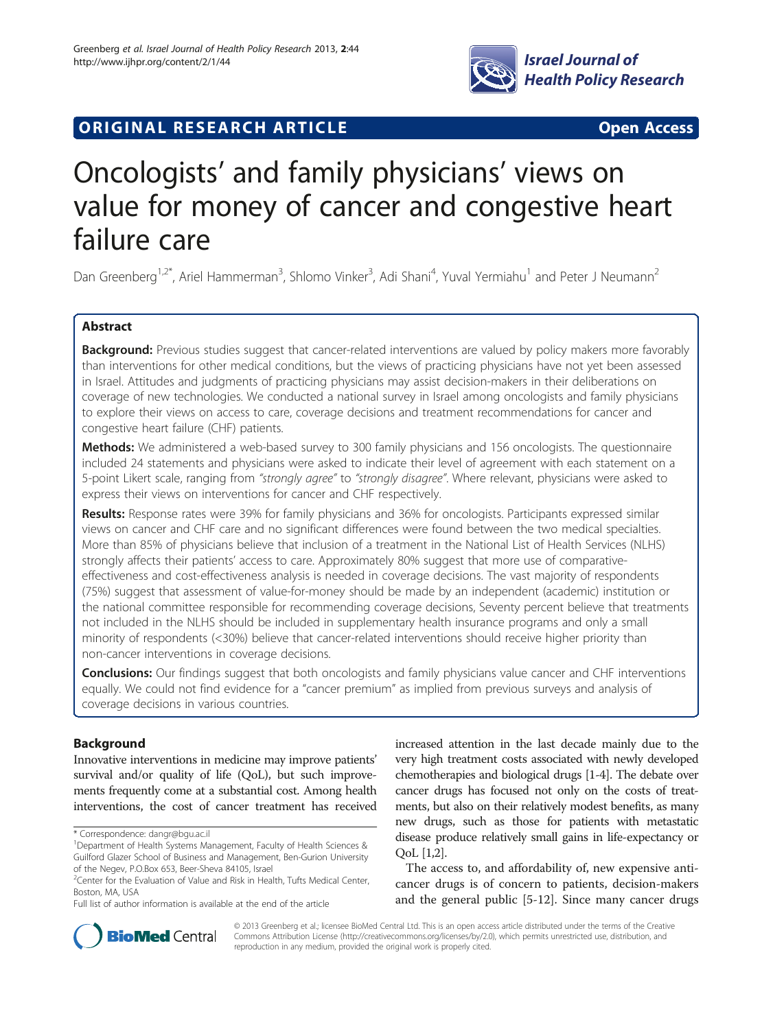

# **ORIGINAL RESEARCH ARTICLE CONSUMING ACCESS**

# Oncologists' and family physicians' views on value for money of cancer and congestive heart failure care

Dan Greenberg<sup>1,2\*</sup>, Ariel Hammerman<sup>3</sup>, Shlomo Vinker<sup>3</sup>, Adi Shani<sup>4</sup>, Yuval Yermiahu<sup>1</sup> and Peter J Neumann<sup>2</sup>

# Abstract

Background: Previous studies suggest that cancer-related interventions are valued by policy makers more favorably than interventions for other medical conditions, but the views of practicing physicians have not yet been assessed in Israel. Attitudes and judgments of practicing physicians may assist decision-makers in their deliberations on coverage of new technologies. We conducted a national survey in Israel among oncologists and family physicians to explore their views on access to care, coverage decisions and treatment recommendations for cancer and congestive heart failure (CHF) patients.

Methods: We administered a web-based survey to 300 family physicians and 156 oncologists. The questionnaire included 24 statements and physicians were asked to indicate their level of agreement with each statement on a 5-point Likert scale, ranging from "strongly agree" to "strongly disagree". Where relevant, physicians were asked to express their views on interventions for cancer and CHF respectively.

Results: Response rates were 39% for family physicians and 36% for oncologists. Participants expressed similar views on cancer and CHF care and no significant differences were found between the two medical specialties. More than 85% of physicians believe that inclusion of a treatment in the National List of Health Services (NLHS) strongly affects their patients' access to care. Approximately 80% suggest that more use of comparativeeffectiveness and cost-effectiveness analysis is needed in coverage decisions. The vast majority of respondents (75%) suggest that assessment of value-for-money should be made by an independent (academic) institution or the national committee responsible for recommending coverage decisions, Seventy percent believe that treatments not included in the NLHS should be included in supplementary health insurance programs and only a small minority of respondents (<30%) believe that cancer-related interventions should receive higher priority than non-cancer interventions in coverage decisions.

Conclusions: Our findings suggest that both oncologists and family physicians value cancer and CHF interventions equally. We could not find evidence for a "cancer premium" as implied from previous surveys and analysis of coverage decisions in various countries.

# Background

Innovative interventions in medicine may improve patients' survival and/or quality of life (QoL), but such improvements frequently come at a substantial cost. Among health interventions, the cost of cancer treatment has received increased attention in the last decade mainly due to the very high treatment costs associated with newly developed chemotherapies and biological drugs [\[1-4\]](#page-8-0). The debate over cancer drugs has focused not only on the costs of treatments, but also on their relatively modest benefits, as many new drugs, such as those for patients with metastatic disease produce relatively small gains in life-expectancy or QoL [\[1,2](#page-8-0)].

The access to, and affordability of, new expensive anticancer drugs is of concern to patients, decision-makers and the general public [[5-12](#page-9-0)]. Since many cancer drugs



© 2013 Greenberg et al.; licensee BioMed Central Ltd. This is an open access article distributed under the terms of the Creative Commons Attribution License [\(http://creativecommons.org/licenses/by/2.0\)](http://creativecommons.org/licenses/by/2.0), which permits unrestricted use, distribution, and reproduction in any medium, provided the original work is properly cited.

<sup>\*</sup> Correspondence: [dangr@bgu.ac.il](mailto:dangr@bgu.ac.il) <sup>1</sup>

<sup>&</sup>lt;sup>1</sup>Department of Health Systems Management, Faculty of Health Sciences & Guilford Glazer School of Business and Management, Ben-Gurion University of the Negev, P.O.Box 653, Beer-Sheva 84105, Israel

<sup>&</sup>lt;sup>2</sup> Center for the Evaluation of Value and Risk in Health, Tufts Medical Center, Boston, MA, USA

Full list of author information is available at the end of the article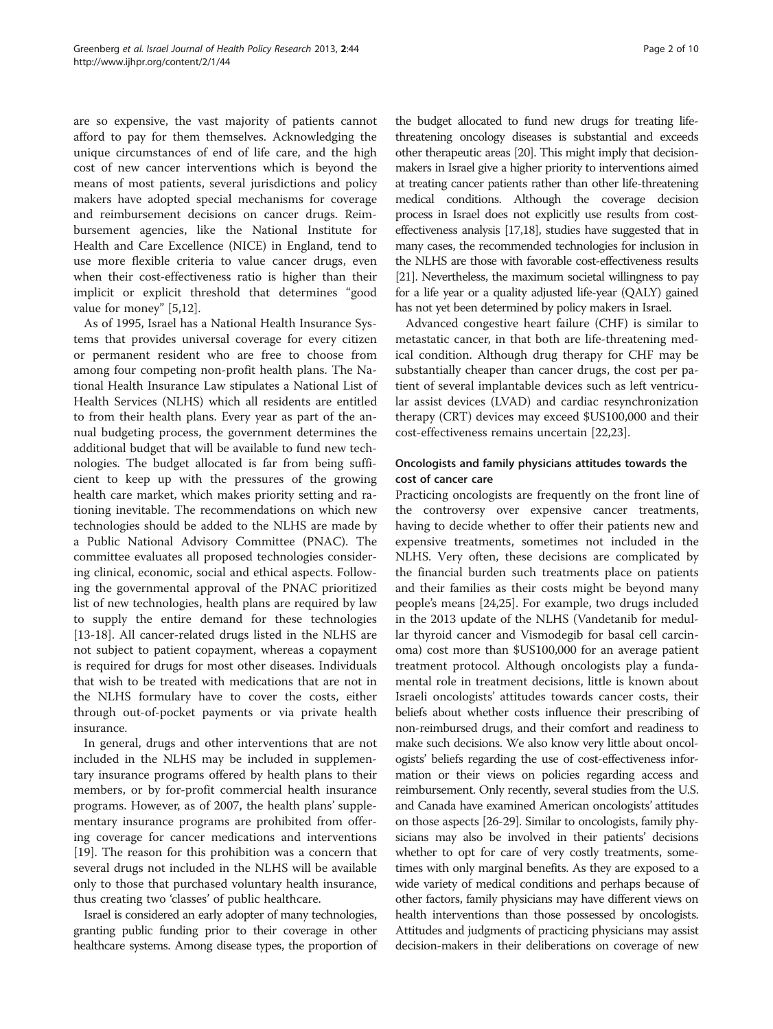are so expensive, the vast majority of patients cannot afford to pay for them themselves. Acknowledging the unique circumstances of end of life care, and the high cost of new cancer interventions which is beyond the means of most patients, several jurisdictions and policy makers have adopted special mechanisms for coverage and reimbursement decisions on cancer drugs. Reimbursement agencies, like the National Institute for Health and Care Excellence (NICE) in England, tend to use more flexible criteria to value cancer drugs, even when their cost-effectiveness ratio is higher than their implicit or explicit threshold that determines "good value for money" [[5](#page-9-0),[12](#page-9-0)].

As of 1995, Israel has a National Health Insurance Systems that provides universal coverage for every citizen or permanent resident who are free to choose from among four competing non-profit health plans. The National Health Insurance Law stipulates a National List of Health Services (NLHS) which all residents are entitled to from their health plans. Every year as part of the annual budgeting process, the government determines the additional budget that will be available to fund new technologies. The budget allocated is far from being sufficient to keep up with the pressures of the growing health care market, which makes priority setting and rationing inevitable. The recommendations on which new technologies should be added to the NLHS are made by a Public National Advisory Committee (PNAC). The committee evaluates all proposed technologies considering clinical, economic, social and ethical aspects. Following the governmental approval of the PNAC prioritized list of new technologies, health plans are required by law to supply the entire demand for these technologies [[13-18](#page-9-0)]. All cancer-related drugs listed in the NLHS are not subject to patient copayment, whereas a copayment is required for drugs for most other diseases. Individuals that wish to be treated with medications that are not in the NLHS formulary have to cover the costs, either through out-of-pocket payments or via private health insurance.

In general, drugs and other interventions that are not included in the NLHS may be included in supplementary insurance programs offered by health plans to their members, or by for-profit commercial health insurance programs. However, as of 2007, the health plans' supplementary insurance programs are prohibited from offering coverage for cancer medications and interventions [[19\]](#page-9-0). The reason for this prohibition was a concern that several drugs not included in the NLHS will be available only to those that purchased voluntary health insurance, thus creating two 'classes' of public healthcare.

Israel is considered an early adopter of many technologies, granting public funding prior to their coverage in other healthcare systems. Among disease types, the proportion of the budget allocated to fund new drugs for treating lifethreatening oncology diseases is substantial and exceeds other therapeutic areas [\[20](#page-9-0)]. This might imply that decisionmakers in Israel give a higher priority to interventions aimed at treating cancer patients rather than other life-threatening medical conditions. Although the coverage decision process in Israel does not explicitly use results from costeffectiveness analysis [\[17,18](#page-9-0)], studies have suggested that in many cases, the recommended technologies for inclusion in the NLHS are those with favorable cost-effectiveness results [[21\]](#page-9-0). Nevertheless, the maximum societal willingness to pay

has not yet been determined by policy makers in Israel. Advanced congestive heart failure (CHF) is similar to metastatic cancer, in that both are life-threatening medical condition. Although drug therapy for CHF may be substantially cheaper than cancer drugs, the cost per patient of several implantable devices such as left ventricular assist devices (LVAD) and cardiac resynchronization therapy (CRT) devices may exceed \$US100,000 and their cost-effectiveness remains uncertain [[22,23\]](#page-9-0).

for a life year or a quality adjusted life-year (QALY) gained

# Oncologists and family physicians attitudes towards the cost of cancer care

Practicing oncologists are frequently on the front line of the controversy over expensive cancer treatments, having to decide whether to offer their patients new and expensive treatments, sometimes not included in the NLHS. Very often, these decisions are complicated by the financial burden such treatments place on patients and their families as their costs might be beyond many people's means [[24,25](#page-9-0)]. For example, two drugs included in the 2013 update of the NLHS (Vandetanib for medullar thyroid cancer and Vismodegib for basal cell carcinoma) cost more than \$US100,000 for an average patient treatment protocol. Although oncologists play a fundamental role in treatment decisions, little is known about Israeli oncologists' attitudes towards cancer costs, their beliefs about whether costs influence their prescribing of non-reimbursed drugs, and their comfort and readiness to make such decisions. We also know very little about oncologists' beliefs regarding the use of cost-effectiveness information or their views on policies regarding access and reimbursement. Only recently, several studies from the U.S. and Canada have examined American oncologists' attitudes on those aspects [[26](#page-9-0)-[29](#page-9-0)]. Similar to oncologists, family physicians may also be involved in their patients' decisions whether to opt for care of very costly treatments, sometimes with only marginal benefits. As they are exposed to a wide variety of medical conditions and perhaps because of other factors, family physicians may have different views on health interventions than those possessed by oncologists. Attitudes and judgments of practicing physicians may assist decision-makers in their deliberations on coverage of new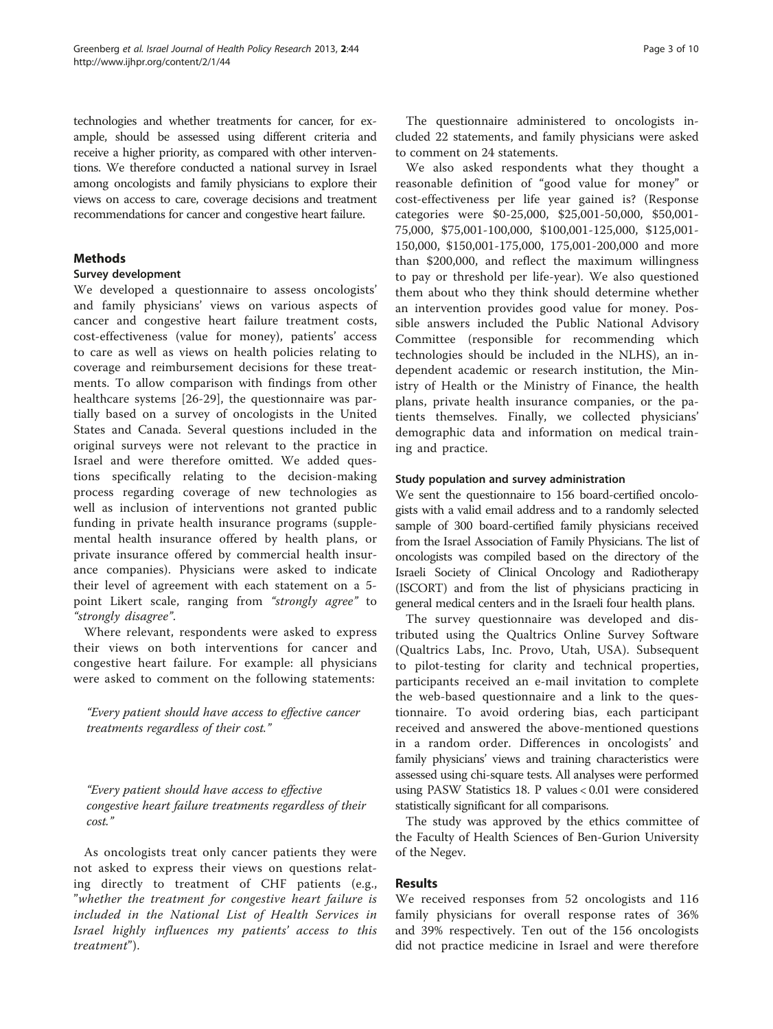technologies and whether treatments for cancer, for example, should be assessed using different criteria and receive a higher priority, as compared with other interventions. We therefore conducted a national survey in Israel among oncologists and family physicians to explore their views on access to care, coverage decisions and treatment recommendations for cancer and congestive heart failure.

# Methods

# Survey development

We developed a questionnaire to assess oncologists' and family physicians' views on various aspects of cancer and congestive heart failure treatment costs, cost-effectiveness (value for money), patients' access to care as well as views on health policies relating to coverage and reimbursement decisions for these treatments. To allow comparison with findings from other healthcare systems [\[26](#page-9-0)-[29\]](#page-9-0), the questionnaire was partially based on a survey of oncologists in the United States and Canada. Several questions included in the original surveys were not relevant to the practice in Israel and were therefore omitted. We added questions specifically relating to the decision-making process regarding coverage of new technologies as well as inclusion of interventions not granted public funding in private health insurance programs (supplemental health insurance offered by health plans, or private insurance offered by commercial health insurance companies). Physicians were asked to indicate their level of agreement with each statement on a 5 point Likert scale, ranging from "strongly agree" to "strongly disagree".

Where relevant, respondents were asked to express their views on both interventions for cancer and congestive heart failure. For example: all physicians were asked to comment on the following statements:

"Every patient should have access to effective cancer treatments regardless of their cost."

"Every patient should have access to effective congestive heart failure treatments regardless of their cost."

As oncologists treat only cancer patients they were not asked to express their views on questions relating directly to treatment of CHF patients (e.g., "whether the treatment for congestive heart failure is included in the National List of Health Services in Israel highly influences my patients' access to this treatment").

The questionnaire administered to oncologists included 22 statements, and family physicians were asked to comment on 24 statements.

We also asked respondents what they thought a reasonable definition of "good value for money" or cost-effectiveness per life year gained is? (Response categories were \$0-25,000, \$25,001-50,000, \$50,001- 75,000, \$75,001-100,000, \$100,001-125,000, \$125,001- 150,000, \$150,001-175,000, 175,001-200,000 and more than \$200,000, and reflect the maximum willingness to pay or threshold per life-year). We also questioned them about who they think should determine whether an intervention provides good value for money. Possible answers included the Public National Advisory Committee (responsible for recommending which technologies should be included in the NLHS), an independent academic or research institution, the Ministry of Health or the Ministry of Finance, the health plans, private health insurance companies, or the patients themselves. Finally, we collected physicians' demographic data and information on medical training and practice.

# Study population and survey administration

We sent the questionnaire to 156 board-certified oncologists with a valid email address and to a randomly selected sample of 300 board-certified family physicians received from the Israel Association of Family Physicians. The list of oncologists was compiled based on the directory of the Israeli Society of Clinical Oncology and Radiotherapy (ISCORT) and from the list of physicians practicing in general medical centers and in the Israeli four health plans.

The survey questionnaire was developed and distributed using the Qualtrics Online Survey Software (Qualtrics Labs, Inc. Provo, Utah, USA). Subsequent to pilot-testing for clarity and technical properties, participants received an e-mail invitation to complete the web-based questionnaire and a link to the questionnaire. To avoid ordering bias, each participant received and answered the above-mentioned questions in a random order. Differences in oncologists' and family physicians' views and training characteristics were assessed using chi-square tests. All analyses were performed using PASW Statistics 18. P values < 0.01 were considered statistically significant for all comparisons.

The study was approved by the ethics committee of the Faculty of Health Sciences of Ben-Gurion University of the Negev.

# Results

We received responses from 52 oncologists and 116 family physicians for overall response rates of 36% and 39% respectively. Ten out of the 156 oncologists did not practice medicine in Israel and were therefore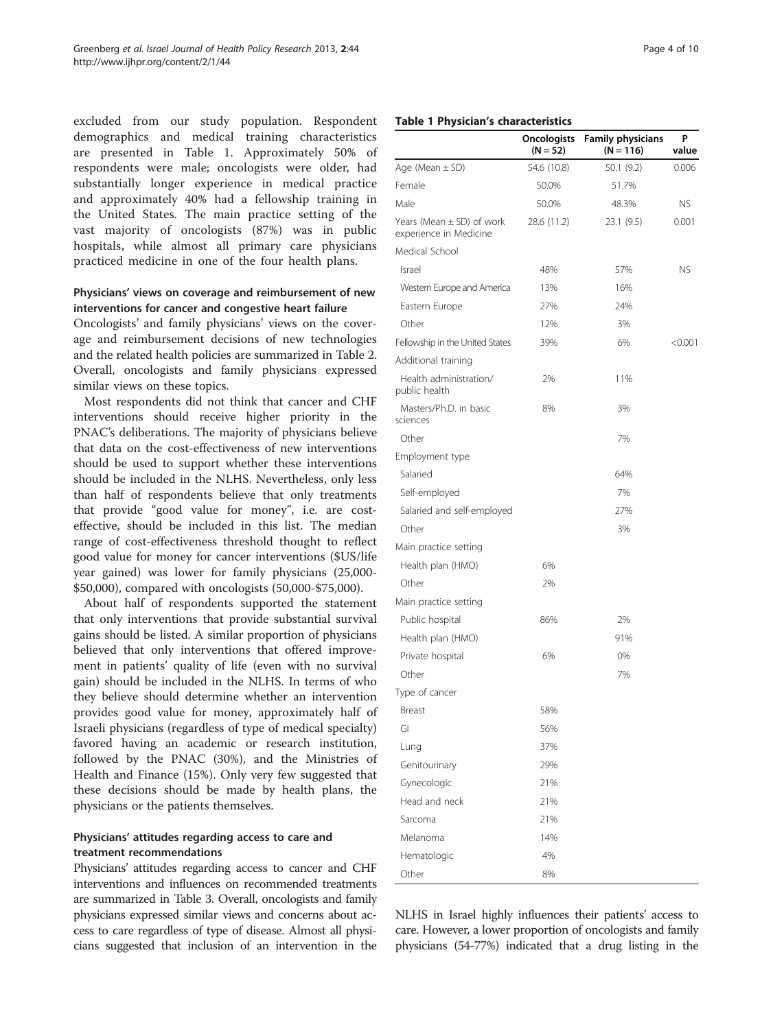excluded from our study population. Respondent demographics and medical training characteristics are presented in Table 1. Approximately 50% of respondents were male; oncologists were older, had substantially longer experience in medical practice and approximately 40% had a fellowship training in the United States. The main practice setting of the vast majority of oncologists (87%) was in public hospitals, while almost all primary care physicians practiced medicine in one of the four health plans.

# Physicians' views on coverage and reimbursement of new interventions for cancer and congestive heart failure

Oncologists' and family physicians' views on the coverage and reimbursement decisions of new technologies and the related health policies are summarized in Table [2](#page-4-0). Overall, oncologists and family physicians expressed similar views on these topics.

Most respondents did not think that cancer and CHF interventions should receive higher priority in the PNAC's deliberations. The majority of physicians believe that data on the cost-effectiveness of new interventions should be used to support whether these interventions should be included in the NLHS. Nevertheless, only less than half of respondents believe that only treatments that provide "good value for money", i.e. are costeffective, should be included in this list. The median range of cost-effectiveness threshold thought to reflect good value for money for cancer interventions (\$US/life year gained) was lower for family physicians (25,000- \$50,000), compared with oncologists (50,000-\$75,000).

About half of respondents supported the statement that only interventions that provide substantial survival gains should be listed. A similar proportion of physicians believed that only interventions that offered improvement in patients' quality of life (even with no survival gain) should be included in the NLHS. In terms of who they believe should determine whether an intervention provides good value for money, approximately half of Israeli physicians (regardless of type of medical specialty) favored having an academic or research institution, followed by the PNAC (30%), and the Ministries of Health and Finance (15%). Only very few suggested that these decisions should be made by health plans, the physicians or the patients themselves.

# Physicians' attitudes regarding access to care and treatment recommendations

Physicians' attitudes regarding access to cancer and CHF interventions and influences on recommended treatments are summarized in Table [3](#page-5-0). Overall, oncologists and family physicians expressed similar views and concerns about access to care regardless of type of disease. Almost all physicians suggested that inclusion of an intervention in the

#### Table 1 Physician's characteristics

|                                                         | <b>Oncologists</b><br>$(N = 52)$ | <b>Family physicians</b><br>$(N = 116)$ | P<br>value |
|---------------------------------------------------------|----------------------------------|-----------------------------------------|------------|
| Age (Mean $\pm$ SD)                                     | 54.6 (10.8)                      | 50.1 (9.2)                              | 0.006      |
| Female                                                  | 50.0%                            | 51.7%                                   |            |
| Male                                                    | 50.0%                            | 48.3%                                   | ΝS         |
| Years (Mean $\pm$ SD) of work<br>experience in Medicine | 28.6 (11.2)                      | 23.1(9.5)                               | 0.001      |
| Medical School                                          |                                  |                                         |            |
| Israel                                                  | 48%                              | 57%                                     | <b>NS</b>  |
| Western Europe and America                              | 13%                              | 16%                                     |            |
| Eastern Europe                                          | 27%                              | 24%                                     |            |
| Other                                                   | 12%                              | 3%                                      |            |
| Fellowship in the United States                         | 39%                              | 6%                                      | < 0.001    |
| Additional training                                     |                                  |                                         |            |
| Health administration/<br>public health                 | 2%                               | 11%                                     |            |
| Masters/Ph.D. in basic<br>sciences                      | 8%                               | 3%                                      |            |
| Other                                                   |                                  | 7%                                      |            |
| Employment type                                         |                                  |                                         |            |
| Salaried                                                |                                  | 64%                                     |            |
| Self-employed                                           |                                  | 7%                                      |            |
| Salaried and self-employed                              |                                  | 27%                                     |            |
| Other                                                   |                                  | 3%                                      |            |
| Main practice setting                                   |                                  |                                         |            |
| Health plan (HMO)                                       | 6%                               |                                         |            |
| Other                                                   | 2%                               |                                         |            |
| Main practice setting                                   |                                  |                                         |            |
| Public hospital                                         | 86%                              | 2%                                      |            |
| Health plan (HMO)                                       |                                  | 91%                                     |            |
| Private hospital                                        | 6%                               | 0%                                      |            |
| Other                                                   |                                  | 7%                                      |            |
| Type of cancer                                          |                                  |                                         |            |
| Breast                                                  | 58%                              |                                         |            |
| GI                                                      | 56%                              |                                         |            |
| Lung                                                    | 37%                              |                                         |            |
| Genitourinary                                           | 29%                              |                                         |            |
| Gynecologic                                             | 21%                              |                                         |            |
| Head and neck                                           | 21%                              |                                         |            |
| Sarcoma                                                 | 21%                              |                                         |            |
| Melanoma                                                | 14%                              |                                         |            |
| Hematologic                                             | 4%                               |                                         |            |
| Other                                                   | 8%                               |                                         |            |

NLHS in Israel highly influences their patients' access to care. However, a lower proportion of oncologists and family physicians (54-77%) indicated that a drug listing in the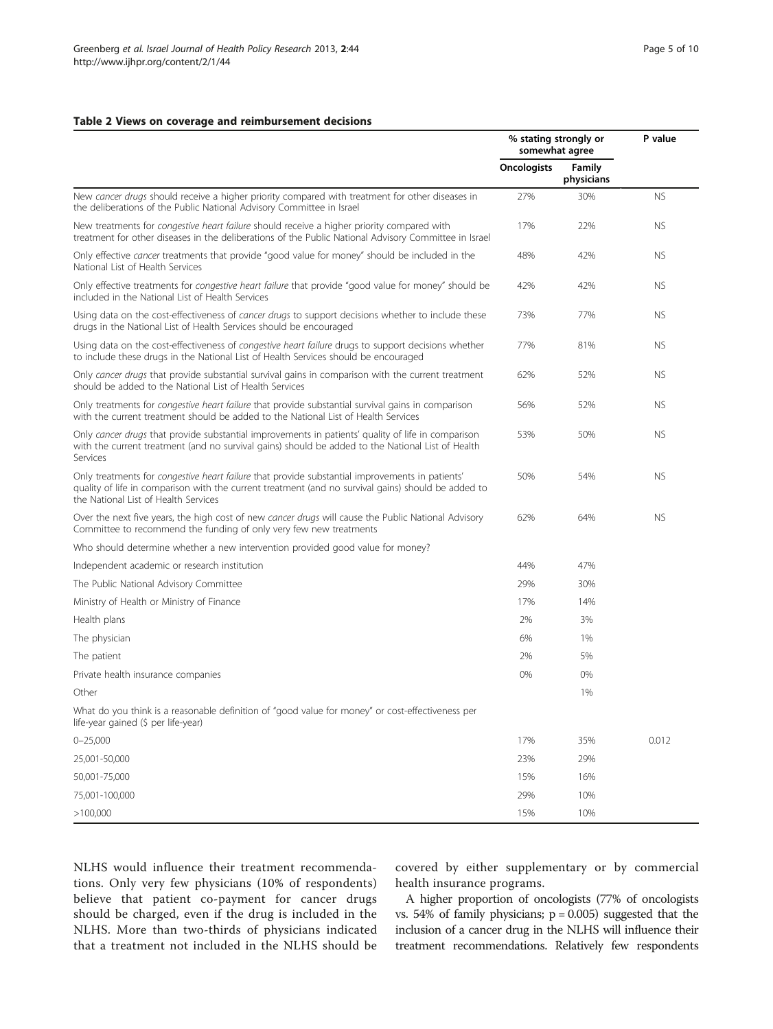#### <span id="page-4-0"></span>Table 2 Views on coverage and reimbursement decisions

|                                                                                                                                                                                                                                                | % stating strongly or<br>somewhat agree |                      | P value   |
|------------------------------------------------------------------------------------------------------------------------------------------------------------------------------------------------------------------------------------------------|-----------------------------------------|----------------------|-----------|
|                                                                                                                                                                                                                                                | <b>Oncologists</b>                      | Family<br>physicians |           |
| New cancer drugs should receive a higher priority compared with treatment for other diseases in<br>the deliberations of the Public National Advisory Committee in Israel                                                                       | 27%                                     | 30%                  | <b>NS</b> |
| New treatments for congestive heart failure should receive a higher priority compared with<br>treatment for other diseases in the deliberations of the Public National Advisory Committee in Israel                                            | 17%                                     | 22%                  | <b>NS</b> |
| Only effective cancer treatments that provide "good value for money" should be included in the<br>National List of Health Services                                                                                                             | 48%                                     | 42%                  | <b>NS</b> |
| Only effective treatments for congestive heart failure that provide "good value for money" should be<br>included in the National List of Health Services                                                                                       | 42%                                     | 42%                  | <b>NS</b> |
| Using data on the cost-effectiveness of cancer drugs to support decisions whether to include these<br>drugs in the National List of Health Services should be encouraged                                                                       | 73%                                     | 77%                  | <b>NS</b> |
| Using data on the cost-effectiveness of congestive heart failure drugs to support decisions whether<br>to include these drugs in the National List of Health Services should be encouraged                                                     | 77%                                     | 81%                  | <b>NS</b> |
| Only cancer drugs that provide substantial survival gains in comparison with the current treatment<br>should be added to the National List of Health Services                                                                                  | 62%                                     | 52%                  | <b>NS</b> |
| Only treatments for congestive heart failure that provide substantial survival gains in comparison<br>with the current treatment should be added to the National List of Health Services                                                       | 56%                                     | 52%                  | <b>NS</b> |
| Only cancer drugs that provide substantial improvements in patients' quality of life in comparison<br>with the current treatment (and no survival gains) should be added to the National List of Health<br>Services                            | 53%                                     | 50%                  | <b>NS</b> |
| Only treatments for congestive heart failure that provide substantial improvements in patients'<br>quality of life in comparison with the current treatment (and no survival gains) should be added to<br>the National List of Health Services | 50%                                     | 54%                  | <b>NS</b> |
| Over the next five years, the high cost of new cancer drugs will cause the Public National Advisory<br>Committee to recommend the funding of only very few new treatments                                                                      | 62%                                     | 64%                  | <b>NS</b> |
| Who should determine whether a new intervention provided good value for money?                                                                                                                                                                 |                                         |                      |           |
| Independent academic or research institution                                                                                                                                                                                                   | 44%                                     | 47%                  |           |
| The Public National Advisory Committee                                                                                                                                                                                                         | 29%                                     | 30%                  |           |
| Ministry of Health or Ministry of Finance                                                                                                                                                                                                      | 17%                                     | 14%                  |           |
| Health plans                                                                                                                                                                                                                                   | 2%                                      | 3%                   |           |
| The physician                                                                                                                                                                                                                                  | 6%                                      | 1%                   |           |
| The patient                                                                                                                                                                                                                                    | 2%                                      | 5%                   |           |
| Private health insurance companies                                                                                                                                                                                                             | 0%                                      | 0%                   |           |
| Other                                                                                                                                                                                                                                          |                                         | 1%                   |           |
| What do you think is a reasonable definition of "good value for money" or cost-effectiveness per<br>life-year gained (\$ per life-year)                                                                                                        |                                         |                      |           |
| $0 - 25,000$                                                                                                                                                                                                                                   | 17%                                     | 35%                  | 0.012     |
| 25,001-50,000                                                                                                                                                                                                                                  | 23%                                     | 29%                  |           |
| 50,001-75,000                                                                                                                                                                                                                                  | 15%                                     | 16%                  |           |
| 75,001-100,000                                                                                                                                                                                                                                 | 29%                                     | 10%                  |           |
| >100,000                                                                                                                                                                                                                                       | 15%                                     | 10%                  |           |

NLHS would influence their treatment recommendations. Only very few physicians (10% of respondents) believe that patient co-payment for cancer drugs should be charged, even if the drug is included in the NLHS. More than two-thirds of physicians indicated that a treatment not included in the NLHS should be covered by either supplementary or by commercial health insurance programs.

A higher proportion of oncologists (77% of oncologists vs.  $54\%$  of family physicians;  $p = 0.005$ ) suggested that the inclusion of a cancer drug in the NLHS will influence their treatment recommendations. Relatively few respondents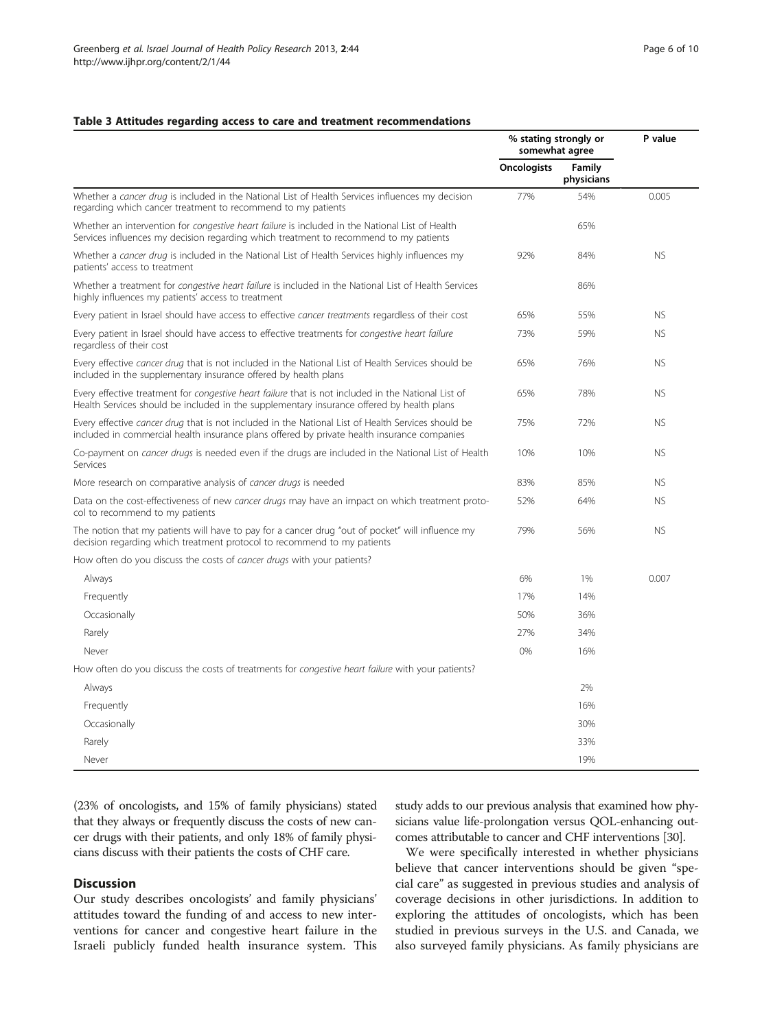#### <span id="page-5-0"></span>Table 3 Attitudes regarding access to care and treatment recommendations

|                                                                                                                                                                                                   | % stating strongly or<br>somewhat agree |                      | P value   |
|---------------------------------------------------------------------------------------------------------------------------------------------------------------------------------------------------|-----------------------------------------|----------------------|-----------|
|                                                                                                                                                                                                   | <b>Oncologists</b>                      | Family<br>physicians |           |
| Whether a cancer drug is included in the National List of Health Services influences my decision<br>regarding which cancer treatment to recommend to my patients                                  | 77%                                     | 54%                  | 0.005     |
| Whether an intervention for <i>congestive heart failure</i> is included in the National List of Health<br>Services influences my decision regarding which treatment to recommend to my patients   |                                         | 65%                  |           |
| Whether a cancer drug is included in the National List of Health Services highly influences my<br>patients' access to treatment                                                                   | 92%                                     | 84%                  | <b>NS</b> |
| Whether a treatment for <i>congestive heart failure</i> is included in the National List of Health Services<br>highly influences my patients' access to treatment                                 |                                         | 86%                  |           |
| Every patient in Israel should have access to effective cancer treatments regardless of their cost                                                                                                | 65%                                     | 55%                  | <b>NS</b> |
| Every patient in Israel should have access to effective treatments for congestive heart failure<br>regardless of their cost                                                                       | 73%                                     | 59%                  | <b>NS</b> |
| Every effective cancer drug that is not included in the National List of Health Services should be<br>included in the supplementary insurance offered by health plans                             | 65%                                     | 76%                  | <b>NS</b> |
| Every effective treatment for congestive heart failure that is not included in the National List of<br>Health Services should be included in the supplementary insurance offered by health plans  | 65%                                     | 78%                  | <b>NS</b> |
| Every effective cancer drug that is not included in the National List of Health Services should be<br>included in commercial health insurance plans offered by private health insurance companies | 75%                                     | 72%                  | <b>NS</b> |
| Co-payment on <i>cancer drugs</i> is needed even if the drugs are included in the National List of Health<br>Services                                                                             | 10%                                     | 10%                  | <b>NS</b> |
| More research on comparative analysis of cancer drugs is needed                                                                                                                                   | 83%                                     | 85%                  | <b>NS</b> |
| Data on the cost-effectiveness of new cancer drugs may have an impact on which treatment proto-<br>col to recommend to my patients                                                                | 52%                                     | 64%                  | <b>NS</b> |
| The notion that my patients will have to pay for a cancer drug "out of pocket" will influence my<br>decision regarding which treatment protocol to recommend to my patients                       | 79%                                     | 56%                  | <b>NS</b> |
| How often do you discuss the costs of cancer drugs with your patients?                                                                                                                            |                                         |                      |           |
| Always                                                                                                                                                                                            | 6%                                      | 1%                   | 0.007     |
| Frequently                                                                                                                                                                                        | 17%                                     | 14%                  |           |
| Occasionally                                                                                                                                                                                      | 50%                                     | 36%                  |           |
| Rarely                                                                                                                                                                                            | 27%                                     | 34%                  |           |
| Never                                                                                                                                                                                             | 0%                                      | 16%                  |           |
| How often do you discuss the costs of treatments for <i>congestive heart failure</i> with your patients?                                                                                          |                                         |                      |           |
| Always                                                                                                                                                                                            |                                         | 2%                   |           |
| Frequently                                                                                                                                                                                        |                                         | 16%                  |           |
| Occasionally                                                                                                                                                                                      |                                         | 30%                  |           |
| Rarely                                                                                                                                                                                            |                                         | 33%                  |           |
| Never                                                                                                                                                                                             |                                         | 19%                  |           |

(23% of oncologists, and 15% of family physicians) stated that they always or frequently discuss the costs of new cancer drugs with their patients, and only 18% of family physicians discuss with their patients the costs of CHF care.

# **Discussion**

Our study describes oncologists' and family physicians' attitudes toward the funding of and access to new interventions for cancer and congestive heart failure in the Israeli publicly funded health insurance system. This study adds to our previous analysis that examined how physicians value life-prolongation versus QOL-enhancing outcomes attributable to cancer and CHF interventions [\[30](#page-9-0)].

We were specifically interested in whether physicians believe that cancer interventions should be given "special care" as suggested in previous studies and analysis of coverage decisions in other jurisdictions. In addition to exploring the attitudes of oncologists, which has been studied in previous surveys in the U.S. and Canada, we also surveyed family physicians. As family physicians are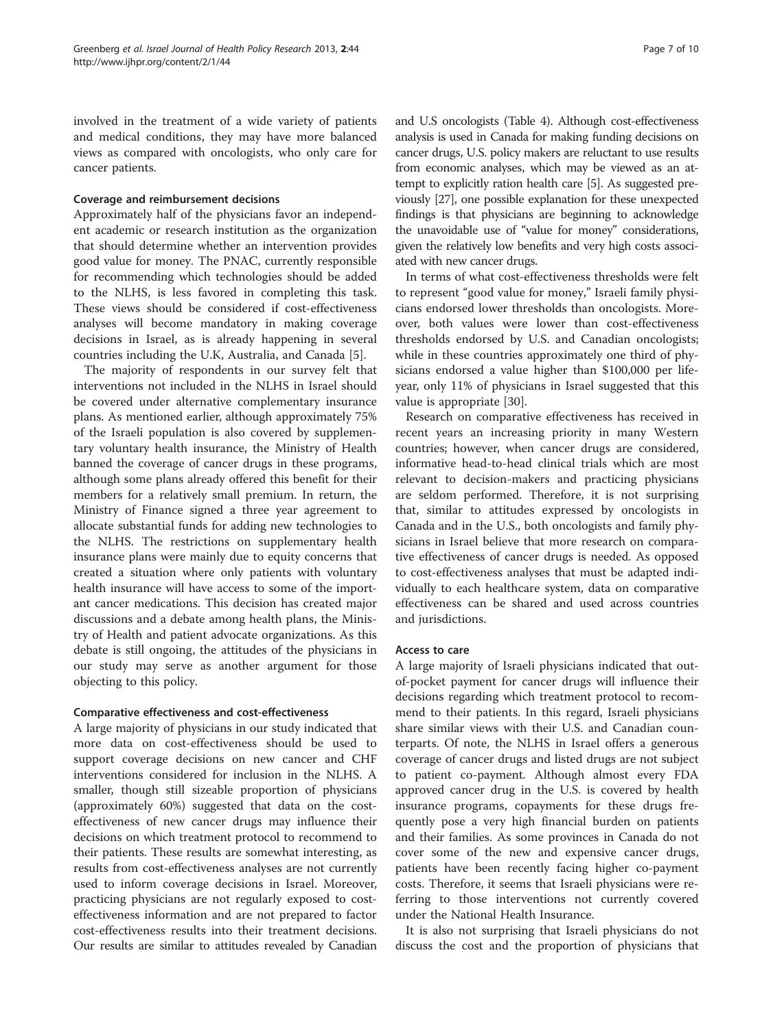involved in the treatment of a wide variety of patients and medical conditions, they may have more balanced views as compared with oncologists, who only care for cancer patients.

### Coverage and reimbursement decisions

Approximately half of the physicians favor an independent academic or research institution as the organization that should determine whether an intervention provides good value for money. The PNAC, currently responsible for recommending which technologies should be added to the NLHS, is less favored in completing this task. These views should be considered if cost-effectiveness analyses will become mandatory in making coverage decisions in Israel, as is already happening in several countries including the U.K, Australia, and Canada [\[5](#page-9-0)].

The majority of respondents in our survey felt that interventions not included in the NLHS in Israel should be covered under alternative complementary insurance plans. As mentioned earlier, although approximately 75% of the Israeli population is also covered by supplementary voluntary health insurance, the Ministry of Health banned the coverage of cancer drugs in these programs, although some plans already offered this benefit for their members for a relatively small premium. In return, the Ministry of Finance signed a three year agreement to allocate substantial funds for adding new technologies to the NLHS. The restrictions on supplementary health insurance plans were mainly due to equity concerns that created a situation where only patients with voluntary health insurance will have access to some of the important cancer medications. This decision has created major discussions and a debate among health plans, the Ministry of Health and patient advocate organizations. As this debate is still ongoing, the attitudes of the physicians in our study may serve as another argument for those objecting to this policy.

#### Comparative effectiveness and cost-effectiveness

A large majority of physicians in our study indicated that more data on cost-effectiveness should be used to support coverage decisions on new cancer and CHF interventions considered for inclusion in the NLHS. A smaller, though still sizeable proportion of physicians (approximately 60%) suggested that data on the costeffectiveness of new cancer drugs may influence their decisions on which treatment protocol to recommend to their patients. These results are somewhat interesting, as results from cost-effectiveness analyses are not currently used to inform coverage decisions in Israel. Moreover, practicing physicians are not regularly exposed to costeffectiveness information and are not prepared to factor cost-effectiveness results into their treatment decisions. Our results are similar to attitudes revealed by Canadian

and U.S oncologists (Table [4](#page-7-0)). Although cost-effectiveness analysis is used in Canada for making funding decisions on cancer drugs, U.S. policy makers are reluctant to use results from economic analyses, which may be viewed as an attempt to explicitly ration health care [\[5\]](#page-9-0). As suggested previously [[27](#page-9-0)], one possible explanation for these unexpected findings is that physicians are beginning to acknowledge the unavoidable use of "value for money" considerations, given the relatively low benefits and very high costs associated with new cancer drugs.

In terms of what cost-effectiveness thresholds were felt to represent "good value for money," Israeli family physicians endorsed lower thresholds than oncologists. Moreover, both values were lower than cost-effectiveness thresholds endorsed by U.S. and Canadian oncologists; while in these countries approximately one third of physicians endorsed a value higher than \$100,000 per lifeyear, only 11% of physicians in Israel suggested that this value is appropriate [\[30](#page-9-0)].

Research on comparative effectiveness has received in recent years an increasing priority in many Western countries; however, when cancer drugs are considered, informative head-to-head clinical trials which are most relevant to decision-makers and practicing physicians are seldom performed. Therefore, it is not surprising that, similar to attitudes expressed by oncologists in Canada and in the U.S., both oncologists and family physicians in Israel believe that more research on comparative effectiveness of cancer drugs is needed. As opposed to cost-effectiveness analyses that must be adapted individually to each healthcare system, data on comparative effectiveness can be shared and used across countries and jurisdictions.

#### Access to care

A large majority of Israeli physicians indicated that outof-pocket payment for cancer drugs will influence their decisions regarding which treatment protocol to recommend to their patients. In this regard, Israeli physicians share similar views with their U.S. and Canadian counterparts. Of note, the NLHS in Israel offers a generous coverage of cancer drugs and listed drugs are not subject to patient co-payment. Although almost every FDA approved cancer drug in the U.S. is covered by health insurance programs, copayments for these drugs frequently pose a very high financial burden on patients and their families. As some provinces in Canada do not cover some of the new and expensive cancer drugs, patients have been recently facing higher co-payment costs. Therefore, it seems that Israeli physicians were referring to those interventions not currently covered under the National Health Insurance.

It is also not surprising that Israeli physicians do not discuss the cost and the proportion of physicians that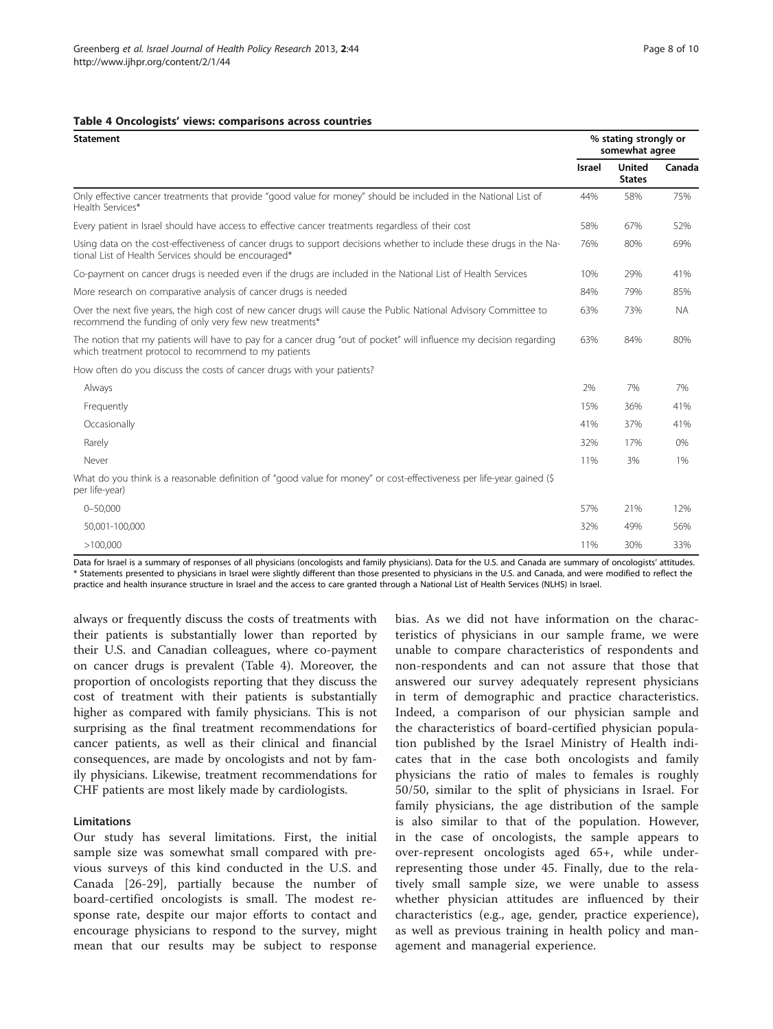#### <span id="page-7-0"></span>Table 4 Oncologists' views: comparisons across countries

| <b>Statement</b>                                                                                                                                                            |               | % stating strongly or<br>somewhat agree |           |  |
|-----------------------------------------------------------------------------------------------------------------------------------------------------------------------------|---------------|-----------------------------------------|-----------|--|
|                                                                                                                                                                             | <b>Israel</b> | <b>United</b><br><b>States</b>          | Canada    |  |
| Only effective cancer treatments that provide "good value for money" should be included in the National List of<br>Health Services*                                         | 44%           | 58%                                     | 75%       |  |
| Every patient in Israel should have access to effective cancer treatments regardless of their cost                                                                          | 58%           | 67%                                     | 52%       |  |
| Using data on the cost-effectiveness of cancer drugs to support decisions whether to include these drugs in the Na-<br>tional List of Health Services should be encouraged* | 76%           | 80%                                     | 69%       |  |
| Co-payment on cancer drugs is needed even if the drugs are included in the National List of Health Services                                                                 | 10%           | 29%                                     | 41%       |  |
| More research on comparative analysis of cancer drugs is needed                                                                                                             | 84%           | 79%                                     | 85%       |  |
| Over the next five years, the high cost of new cancer drugs will cause the Public National Advisory Committee to<br>recommend the funding of only very few new treatments*  | 63%           | 73%                                     | <b>NA</b> |  |
| The notion that my patients will have to pay for a cancer drug "out of pocket" will influence my decision regarding<br>which treatment protocol to recommend to my patients | 63%           | 84%                                     | 80%       |  |
| How often do you discuss the costs of cancer drugs with your patients?                                                                                                      |               |                                         |           |  |
| Always                                                                                                                                                                      | 2%            | 7%                                      | 7%        |  |
| Frequently                                                                                                                                                                  | 15%           | 36%                                     | 41%       |  |
| Occasionally                                                                                                                                                                | 41%           | 37%                                     | 41%       |  |
| Rarely                                                                                                                                                                      | 32%           | 17%                                     | 0%        |  |
| Never                                                                                                                                                                       | 11%           | 3%                                      | 1%        |  |
| What do you think is a reasonable definition of "good value for money" or cost-effectiveness per life-year gained (\$<br>per life-year)                                     |               |                                         |           |  |
| $0 - 50,000$                                                                                                                                                                | 57%           | 21%                                     | 12%       |  |
| 50,001-100,000                                                                                                                                                              | 32%           | 49%                                     | 56%       |  |
| >100,000                                                                                                                                                                    | 11%           | 30%                                     | 33%       |  |

Data for Israel is a summary of responses of all physicians (oncologists and family physicians). Data for the U.S. and Canada are summary of oncologists' attitudes. \* Statements presented to physicians in Israel were slightly different than those presented to physicians in the U.S. and Canada, and were modified to reflect the practice and health insurance structure in Israel and the access to care granted through a National List of Health Services (NLHS) in Israel.

always or frequently discuss the costs of treatments with their patients is substantially lower than reported by their U.S. and Canadian colleagues, where co-payment on cancer drugs is prevalent (Table 4). Moreover, the proportion of oncologists reporting that they discuss the cost of treatment with their patients is substantially higher as compared with family physicians. This is not surprising as the final treatment recommendations for cancer patients, as well as their clinical and financial consequences, are made by oncologists and not by family physicians. Likewise, treatment recommendations for CHF patients are most likely made by cardiologists.

#### Limitations

Our study has several limitations. First, the initial sample size was somewhat small compared with previous surveys of this kind conducted in the U.S. and Canada [\[26](#page-9-0)-[29](#page-9-0)], partially because the number of board-certified oncologists is small. The modest response rate, despite our major efforts to contact and encourage physicians to respond to the survey, might mean that our results may be subject to response

bias. As we did not have information on the characteristics of physicians in our sample frame, we were unable to compare characteristics of respondents and non-respondents and can not assure that those that answered our survey adequately represent physicians in term of demographic and practice characteristics. Indeed, a comparison of our physician sample and the characteristics of board-certified physician population published by the Israel Ministry of Health indicates that in the case both oncologists and family physicians the ratio of males to females is roughly 50/50, similar to the split of physicians in Israel. For family physicians, the age distribution of the sample is also similar to that of the population. However, in the case of oncologists, the sample appears to over-represent oncologists aged 65+, while underrepresenting those under 45. Finally, due to the relatively small sample size, we were unable to assess whether physician attitudes are influenced by their characteristics (e.g., age, gender, practice experience), as well as previous training in health policy and management and managerial experience.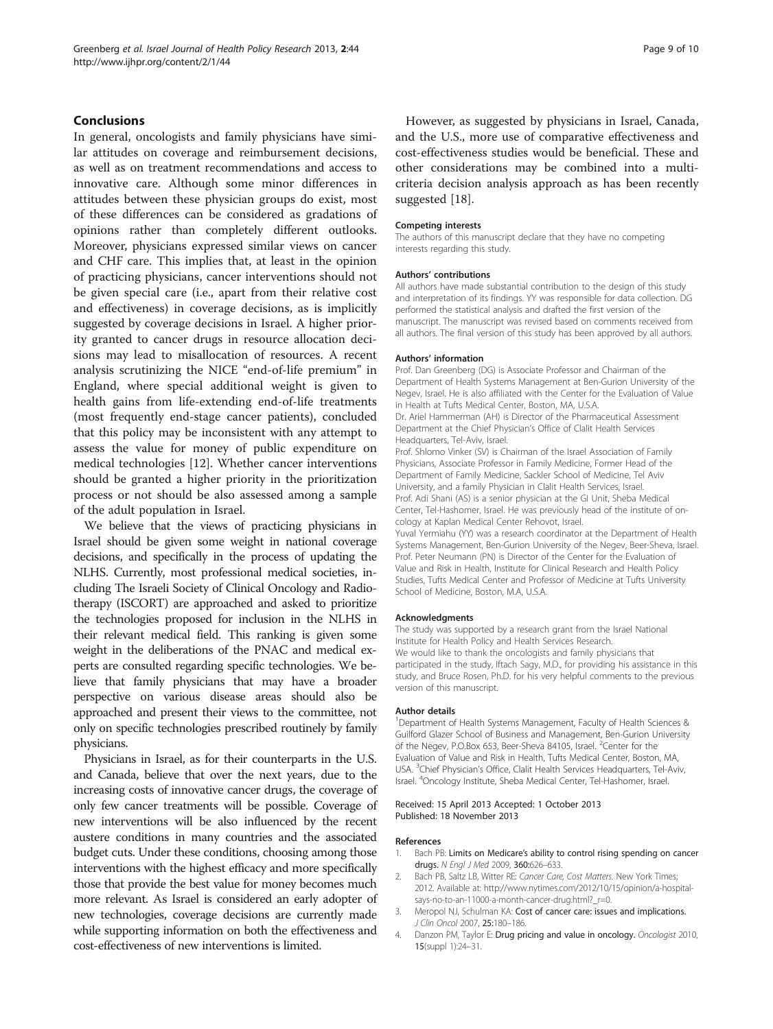# <span id="page-8-0"></span>Conclusions

In general, oncologists and family physicians have similar attitudes on coverage and reimbursement decisions, as well as on treatment recommendations and access to innovative care. Although some minor differences in attitudes between these physician groups do exist, most of these differences can be considered as gradations of opinions rather than completely different outlooks. Moreover, physicians expressed similar views on cancer and CHF care. This implies that, at least in the opinion of practicing physicians, cancer interventions should not be given special care (i.e., apart from their relative cost and effectiveness) in coverage decisions, as is implicitly suggested by coverage decisions in Israel. A higher priority granted to cancer drugs in resource allocation decisions may lead to misallocation of resources. A recent analysis scrutinizing the NICE "end-of-life premium" in England, where special additional weight is given to health gains from life-extending end-of-life treatments (most frequently end-stage cancer patients), concluded that this policy may be inconsistent with any attempt to assess the value for money of public expenditure on medical technologies [[12\]](#page-9-0). Whether cancer interventions should be granted a higher priority in the prioritization process or not should be also assessed among a sample of the adult population in Israel.

We believe that the views of practicing physicians in Israel should be given some weight in national coverage decisions, and specifically in the process of updating the NLHS. Currently, most professional medical societies, including The Israeli Society of Clinical Oncology and Radiotherapy (ISCORT) are approached and asked to prioritize the technologies proposed for inclusion in the NLHS in their relevant medical field. This ranking is given some weight in the deliberations of the PNAC and medical experts are consulted regarding specific technologies. We believe that family physicians that may have a broader perspective on various disease areas should also be approached and present their views to the committee, not only on specific technologies prescribed routinely by family physicians.

Physicians in Israel, as for their counterparts in the U.S. and Canada, believe that over the next years, due to the increasing costs of innovative cancer drugs, the coverage of only few cancer treatments will be possible. Coverage of new interventions will be also influenced by the recent austere conditions in many countries and the associated budget cuts. Under these conditions, choosing among those interventions with the highest efficacy and more specifically those that provide the best value for money becomes much more relevant. As Israel is considered an early adopter of new technologies, coverage decisions are currently made while supporting information on both the effectiveness and cost-effectiveness of new interventions is limited.

However, as suggested by physicians in Israel, Canada, and the U.S., more use of comparative effectiveness and cost-effectiveness studies would be beneficial. These and other considerations may be combined into a multicriteria decision analysis approach as has been recently suggested [\[18](#page-9-0)].

#### Competing interests

The authors of this manuscript declare that they have no competing interests regarding this study.

#### Authors' contributions

All authors have made substantial contribution to the design of this study and interpretation of its findings. YY was responsible for data collection. DG performed the statistical analysis and drafted the first version of the manuscript. The manuscript was revised based on comments received from all authors. The final version of this study has been approved by all authors.

#### Authors' information

Prof. Dan Greenberg (DG) is Associate Professor and Chairman of the Department of Health Systems Management at Ben-Gurion University of the Negev, Israel. He is also affiliated with the Center for the Evaluation of Value in Health at Tufts Medical Center, Boston, MA, U.S.A.

Dr. Ariel Hammerman (AH) is Director of the Pharmaceutical Assessment Department at the Chief Physician's Office of Clalit Health Services Headquarters, Tel-Aviv, Israel.

Prof. Shlomo Vinker (SV) is Chairman of the Israel Association of Family Physicians, Associate Professor in Family Medicine, Former Head of the Department of Family Medicine, Sackler School of Medicine, Tel Aviv University, and a family Physician in Clalit Health Services, Israel. Prof. Adi Shani (AS) is a senior physician at the GI Unit, Sheba Medical Center, Tel-Hashomer, Israel. He was previously head of the institute of oncology at Kaplan Medical Center Rehovot, Israel.

Yuval Yermiahu (YY) was a research coordinator at the Department of Health Systems Management, Ben-Gurion University of the Negev, Beer-Sheva, Israel. Prof. Peter Neumann (PN) is Director of the Center for the Evaluation of Value and Risk in Health, Institute for Clinical Research and Health Policy Studies, Tufts Medical Center and Professor of Medicine at Tufts University School of Medicine, Boston, M.A, U.S.A.

#### Acknowledgments

The study was supported by a research grant from the Israel National Institute for Health Policy and Health Services Research. We would like to thank the oncologists and family physicians that participated in the study, Iftach Sagy, M.D., for providing his assistance in this study, and Bruce Rosen, Ph.D. for his very helpful comments to the previous version of this manuscript.

#### Author details

<sup>1</sup>Department of Health Systems Management, Faculty of Health Sciences & Guilford Glazer School of Business and Management, Ben-Gurion University of the Negev, P.O.Box 653, Beer-Sheva 84105, Israel. <sup>2</sup>Center for the Evaluation of Value and Risk in Health, Tufts Medical Center, Boston, MA, USA. <sup>3</sup>Chief Physician's Office, Clalit Health Services Headquarters, Tel-Aviv Israel. <sup>4</sup> Oncology Institute, Sheba Medical Center, Tel-Hashomer, Israel.

#### Received: 15 April 2013 Accepted: 1 October 2013 Published: 18 November 2013

#### References

- 1. Bach PB: Limits on Medicare's ability to control rising spending on cancer drugs. N Engl J Med 2009, 360:626–633.
- Bach PB, Saltz LB, Witter RE: Cancer Care, Cost Matters. New York Times; 2012. Available at: [http://www.nytimes.com/2012/10/15/opinion/a-hospital](http://www.nytimes.com/2012/10/15/opinion/a-hospital-says-no-to-an-11000-a-month-cancer-drug.html?_r=0)[says-no-to-an-11000-a-month-cancer-drug.html?\\_r=0](http://www.nytimes.com/2012/10/15/opinion/a-hospital-says-no-to-an-11000-a-month-cancer-drug.html?_r=0).
- 3. Meropol NJ, Schulman KA: Cost of cancer care: issues and implications. J Clin Oncol 2007, 25:180–186.
- 4. Danzon PM, Taylor E: Drug pricing and value in oncology. Oncologist 2010, 15(suppl 1):24–31.